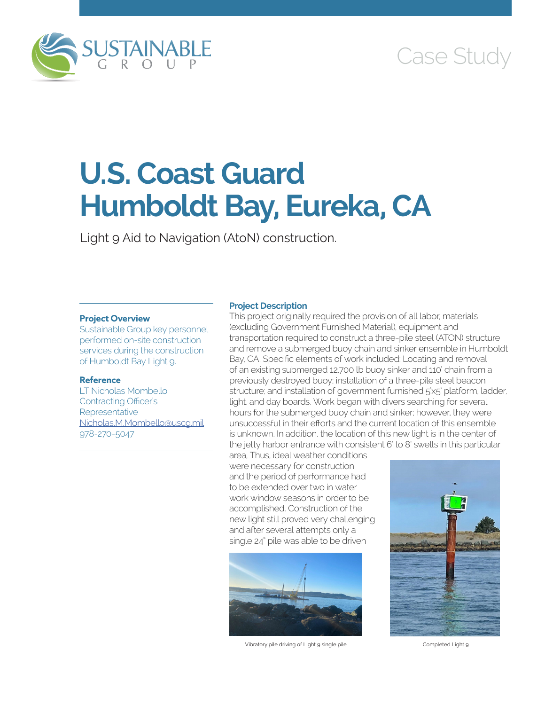

# Case Study

# **U.S. Coast Guard Humboldt Bay, Eureka, CA**

Light 9 Aid to Navigation (AtoN) construction.

#### **Project Overview**

Sustainable Group key personnel performed on-site construction services during the construction of Humboldt Bay Light 9.

# **Reference**

LT Nicholas Mombello Contracting Officer's **Representative** [Nicholas.M.Mombello@uscg.mil](mailto:Nicholas.M.Mombello@uscg.mil) 978-270-5047

## **Project Description**

This project originally required the provision of all labor, materials (excluding Government Furnished Material), equipment and transportation required to construct a three-pile steel (ATON) structure and remove a submerged buoy chain and sinker ensemble in Humboldt Bay, CA. Specific elements of work included: Locating and removal of an existing submerged 12,700 lb buoy sinker and 110' chain from a previously destroyed buoy; installation of a three-pile steel beacon structure; and installation of government furnished 5'x5' platform, ladder, light, and day boards. Work began with divers searching for several hours for the submerged buoy chain and sinker; however, they were unsuccessful in their efforts and the current location of this ensemble is unknown. In addition, the location of this new light is in the center of the jetty harbor entrance with consistent 6' to 8' swells in this particular

area, Thus, ideal weather conditions were necessary for construction and the period of performance had to be extended over two in water work window seasons in order to be accomplished. Construction of the new light still proved very challenging and after several attempts only a single 24" pile was able to be driven



Vibratory pile driving of Light 9 single pile Completed Light 9